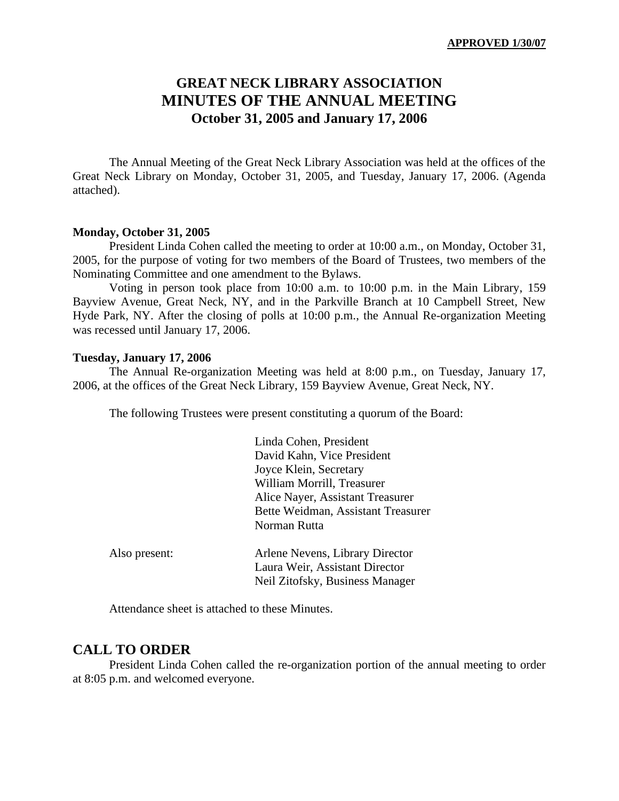# **GREAT NECK LIBRARY ASSOCIATION MINUTES OF THE ANNUAL MEETING October 31, 2005 and January 17, 2006**

The Annual Meeting of the Great Neck Library Association was held at the offices of the Great Neck Library on Monday, October 31, 2005, and Tuesday, January 17, 2006. (Agenda attached).

#### **Monday, October 31, 2005**

President Linda Cohen called the meeting to order at 10:00 a.m., on Monday, October 31, 2005, for the purpose of voting for two members of the Board of Trustees, two members of the Nominating Committee and one amendment to the Bylaws.

Voting in person took place from 10:00 a.m. to 10:00 p.m. in the Main Library, 159 Bayview Avenue, Great Neck, NY, and in the Parkville Branch at 10 Campbell Street, New Hyde Park, NY. After the closing of polls at 10:00 p.m., the Annual Re-organization Meeting was recessed until January 17, 2006.

#### **Tuesday, January 17, 2006**

The Annual Re-organization Meeting was held at 8:00 p.m., on Tuesday, January 17, 2006, at the offices of the Great Neck Library, 159 Bayview Avenue, Great Neck, NY.

The following Trustees were present constituting a quorum of the Board:

|               | Linda Cohen, President             |
|---------------|------------------------------------|
|               | David Kahn, Vice President         |
|               | Joyce Klein, Secretary             |
|               | William Morrill, Treasurer         |
|               | Alice Nayer, Assistant Treasurer   |
|               | Bette Weidman, Assistant Treasurer |
|               | Norman Rutta                       |
| Also present: | Arlene Nevens, Library Director    |
|               | Laura Weir, Assistant Director     |
|               | Neil Zitofsky, Business Manager    |
|               |                                    |

Attendance sheet is attached to these Minutes.

#### **CALL TO ORDER**

President Linda Cohen called the re-organization portion of the annual meeting to order at 8:05 p.m. and welcomed everyone.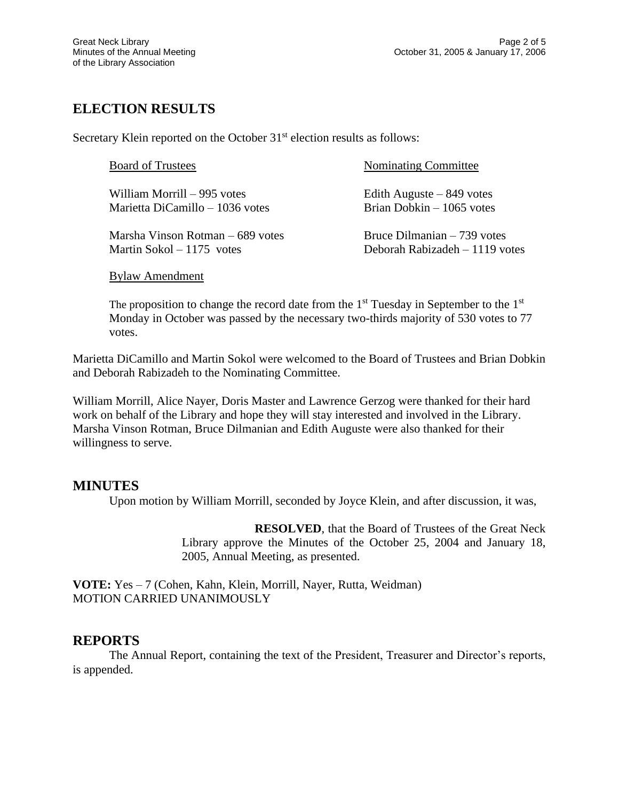# **ELECTION RESULTS**

Secretary Klein reported on the October  $31<sup>st</sup>$  election results as follows:

| <b>Board of Trustees</b>          | <b>Nominating Committee</b>    |
|-----------------------------------|--------------------------------|
| William Morrill – 995 votes       | Edith Auguste $-849$ votes     |
| Marietta DiCamillo – 1036 votes   | Brian Dobkin $-1065$ votes     |
| Marsha Vinson Rotman $-689$ votes | Bruce Dilmanian $-739$ votes   |
| Martin Sokol – 1175 votes         | Deborah Rabizadeh – 1119 votes |

Bylaw Amendment

The proposition to change the record date from the  $1<sup>st</sup>$  Tuesday in September to the  $1<sup>st</sup>$ Monday in October was passed by the necessary two-thirds majority of 530 votes to 77 votes.

Marietta DiCamillo and Martin Sokol were welcomed to the Board of Trustees and Brian Dobkin and Deborah Rabizadeh to the Nominating Committee.

William Morrill, Alice Nayer, Doris Master and Lawrence Gerzog were thanked for their hard work on behalf of the Library and hope they will stay interested and involved in the Library. Marsha Vinson Rotman, Bruce Dilmanian and Edith Auguste were also thanked for their willingness to serve.

# **MINUTES**

Upon motion by William Morrill, seconded by Joyce Klein, and after discussion, it was,

**RESOLVED**, that the Board of Trustees of the Great Neck Library approve the Minutes of the October 25, 2004 and January 18, 2005, Annual Meeting, as presented.

**VOTE:** Yes – 7 (Cohen, Kahn, Klein, Morrill, Nayer, Rutta, Weidman) MOTION CARRIED UNANIMOUSLY

# **REPORTS**

The Annual Report, containing the text of the President, Treasurer and Director's reports, is appended.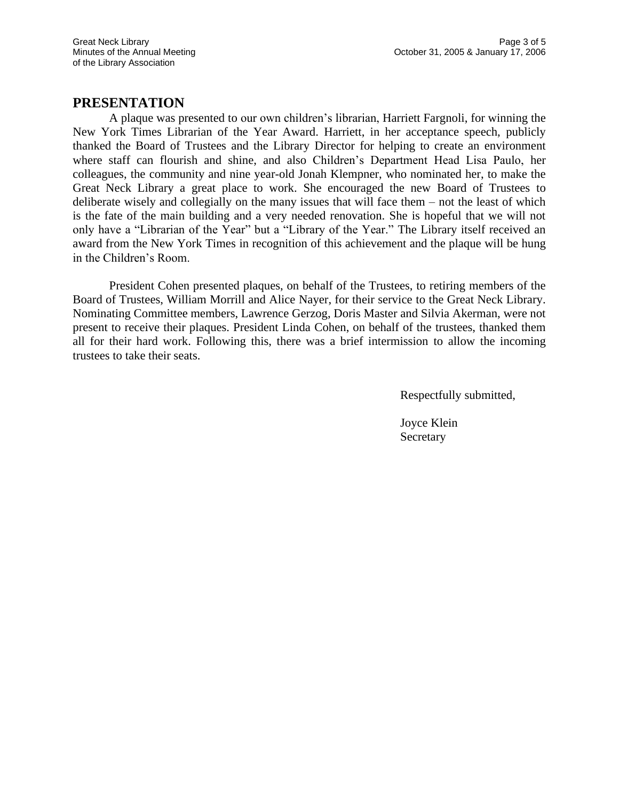### **PRESENTATION**

A plaque was presented to our own children's librarian, Harriett Fargnoli, for winning the New York Times Librarian of the Year Award. Harriett, in her acceptance speech, publicly thanked the Board of Trustees and the Library Director for helping to create an environment where staff can flourish and shine, and also Children's Department Head Lisa Paulo, her colleagues, the community and nine year-old Jonah Klempner, who nominated her, to make the Great Neck Library a great place to work. She encouraged the new Board of Trustees to deliberate wisely and collegially on the many issues that will face them – not the least of which is the fate of the main building and a very needed renovation. She is hopeful that we will not only have a "Librarian of the Year" but a "Library of the Year." The Library itself received an award from the New York Times in recognition of this achievement and the plaque will be hung in the Children's Room.

President Cohen presented plaques, on behalf of the Trustees, to retiring members of the Board of Trustees, William Morrill and Alice Nayer, for their service to the Great Neck Library. Nominating Committee members, Lawrence Gerzog, Doris Master and Silvia Akerman, were not present to receive their plaques. President Linda Cohen, on behalf of the trustees, thanked them all for their hard work. Following this, there was a brief intermission to allow the incoming trustees to take their seats.

Respectfully submitted,

Joyce Klein **Secretary**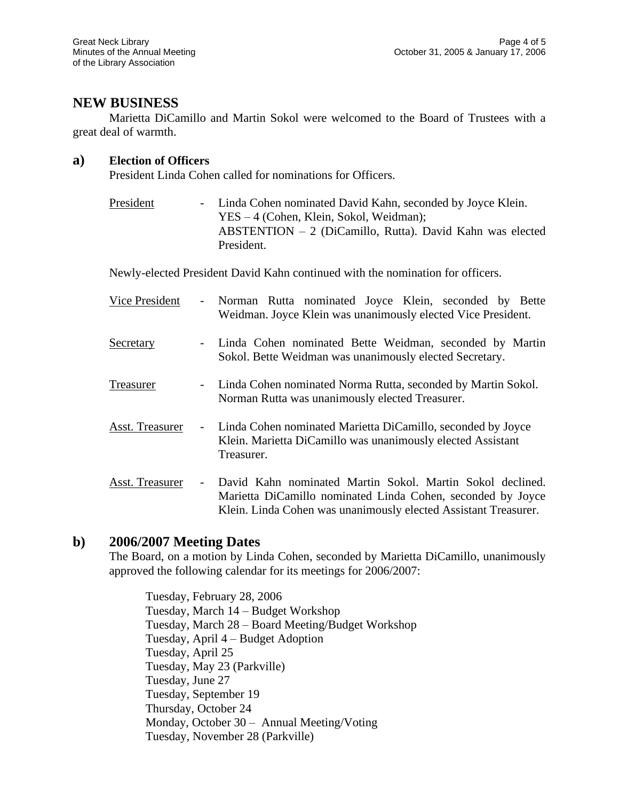# **NEW BUSINESS**

Marietta DiCamillo and Martin Sokol were welcomed to the Board of Trustees with a great deal of warmth.

#### **a) Election of Officers**

President Linda Cohen called for nominations for Officers.

President - Linda Cohen nominated David Kahn, seconded by Joyce Klein. YES – 4 (Cohen, Klein, Sokol, Weidman); ABSTENTION – 2 (DiCamillo, Rutta). David Kahn was elected President.

Newly-elected President David Kahn continued with the nomination for officers.

| Vice President  | $\blacksquare$ | Norman Rutta nominated Joyce Klein, seconded by Bette<br>Weidman. Joyce Klein was unanimously elected Vice President.                                                                       |
|-----------------|----------------|---------------------------------------------------------------------------------------------------------------------------------------------------------------------------------------------|
| Secretary       |                | Linda Cohen nominated Bette Weidman, seconded by Martin<br>Sokol. Bette Weidman was unanimously elected Secretary.                                                                          |
| Treasurer       |                | Linda Cohen nominated Norma Rutta, seconded by Martin Sokol.<br>Norman Rutta was unanimously elected Treasurer.                                                                             |
| Asst. Treasurer |                | Linda Cohen nominated Marietta DiCamillo, seconded by Joyce<br>Klein. Marietta DiCamillo was unanimously elected Assistant<br>Treasurer.                                                    |
| Asst. Treasurer |                | David Kahn nominated Martin Sokol. Martin Sokol declined.<br>Marietta DiCamillo nominated Linda Cohen, seconded by Joyce<br>Klein. Linda Cohen was unanimously elected Assistant Treasurer. |

### **b) 2006/2007 Meeting Dates**

The Board, on a motion by Linda Cohen, seconded by Marietta DiCamillo, unanimously approved the following calendar for its meetings for 2006/2007:

Tuesday, February 28, 2006 Tuesday, March 14 – Budget Workshop Tuesday, March 28 – Board Meeting/Budget Workshop Tuesday, April 4 – Budget Adoption Tuesday, April 25 Tuesday, May 23 (Parkville) Tuesday, June 27 Tuesday, September 19 Thursday, October 24 Monday, October 30 – Annual Meeting/Voting Tuesday, November 28 (Parkville)